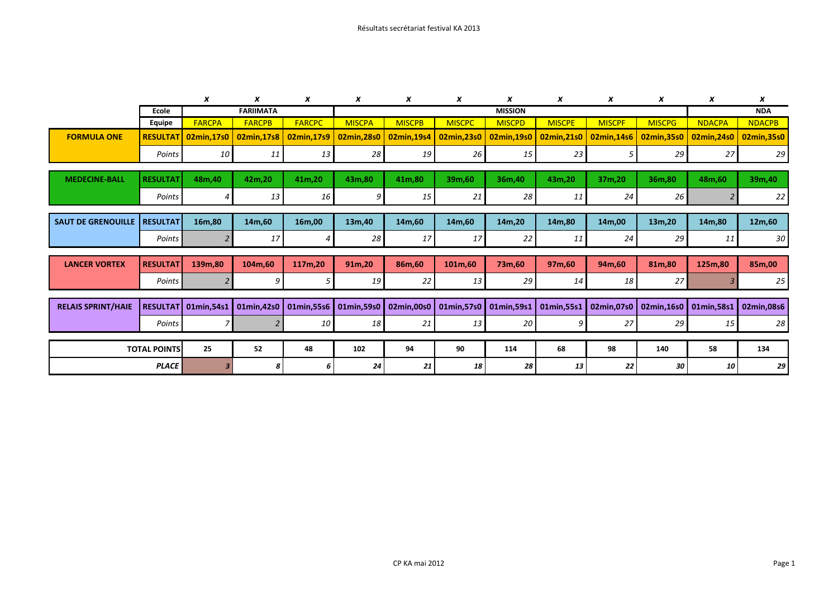|                           |                     | x                   | x             | X                     | X              | x             | X             | x             | x             | x             | x             | x             | x             |
|---------------------------|---------------------|---------------------|---------------|-----------------------|----------------|---------------|---------------|---------------|---------------|---------------|---------------|---------------|---------------|
|                           | Ecole               | <b>FARIIMATA</b>    |               |                       | <b>MISSION</b> |               |               |               |               |               | <b>NDA</b>    |               |               |
|                           | Equipe              | <b>FARCPA</b>       | <b>FARCPB</b> | <b>FARCPC</b>         | <b>MISCPA</b>  | <b>MISCPB</b> | <b>MISCPC</b> | <b>MISCPD</b> | <b>MISCPE</b> | <b>MISCPF</b> | <b>MISCPG</b> | <b>NDACPA</b> | <b>NDACPB</b> |
| <b>FORMULA ONE</b>        |                     | RESULTAT 02min,17s0 | 02min,17s8    | 02min,17s9            | 02min, 28s0    | 02min, 19s4   | 02min, 23s0   | 02min,19s0    | 02min, 21s0   | 02min,14s6    | 02min, 35s0   | 02min, 24s0   | 02min, 35s0   |
|                           | Points              | 10 <sup>1</sup>     | 11            | 13                    | 28             | 19            | 26            | 15            | 23            |               | 29            | 27            | 29            |
| <b>MEDECINE-BALL</b>      | <b>RESULTAT</b>     | 48m, 40             | 42m,20        | 41m,20                | 43m,80         | 41m,80        | 39m,60        | 36m,40        | 43m,20        | 37m,20        | 36m,80        | 48m,60        | 39m,40        |
|                           | Points              | 4                   | 13            | 16                    | 9              | 15            | 21            | 28            | 11            | 24            | 26            |               | 22            |
|                           |                     |                     |               |                       |                |               |               |               |               |               |               |               |               |
| <b>SAUT DE GRENOUILLE</b> | <b>RESULTAT</b>     | 16m,80              | 14m,60        | 16m,00                | 13m,40         | 14m,60        | 14m,60        | 14m,20        | 14m,80        | 14m,00        | 13m,20        | 14m,80        | 12m,60        |
|                           | Points              |                     | 17            | 4                     | 28             | 17            | 17            | 22            | 11            | 24            | 29            | 11            | 30            |
|                           |                     |                     |               |                       |                |               |               |               |               |               |               |               |               |
| <b>LANCER VORTEX</b>      | <b>RESULTATI</b>    | 139m,80             | 104m,60       | 117m,20               | 91m,20         | 86m,60        | 101m,60       | 73m,60        | 97m,60        | 94m,60        | 81m,80        | 125m,80       | 85m,00        |
|                           | Points              | $\overline{2}$      | g             | 5 <sub>l</sub>        | 19             | 22            | 13            | 29            | 14            | 18            | 27            |               | 25            |
|                           |                     |                     |               |                       |                |               |               |               |               |               |               |               |               |
| <b>RELAIS SPRINT/HAIE</b> |                     | RESULTAT 01min,54s1 |               | 01min,42s0 01min,55s6 | 01min,59s0     | 02min,00s0    | 01min,57s0    | 01min,59s1    | 01min,55s1    | 02min,07s0    | 02min,16s0    | 01min,58s1    | 02min,08s6    |
|                           | Points              |                     |               | 10 l                  | 18             | 21            | 13            | 20            | 9             | 27            | 29            | 15            | 28            |
|                           |                     |                     |               |                       |                |               |               |               |               |               |               |               |               |
|                           | <b>TOTAL POINTS</b> | 25                  | 52            | 48                    | 102            | 94            | 90            | 114           | 68            | 98            | 140           | 58            | 134           |
|                           | <b>PLACE</b>        | 3                   | 8             | 6                     | 24             | 21            | 18            | 28            | 13            | 22            | 30            | 10            | 29            |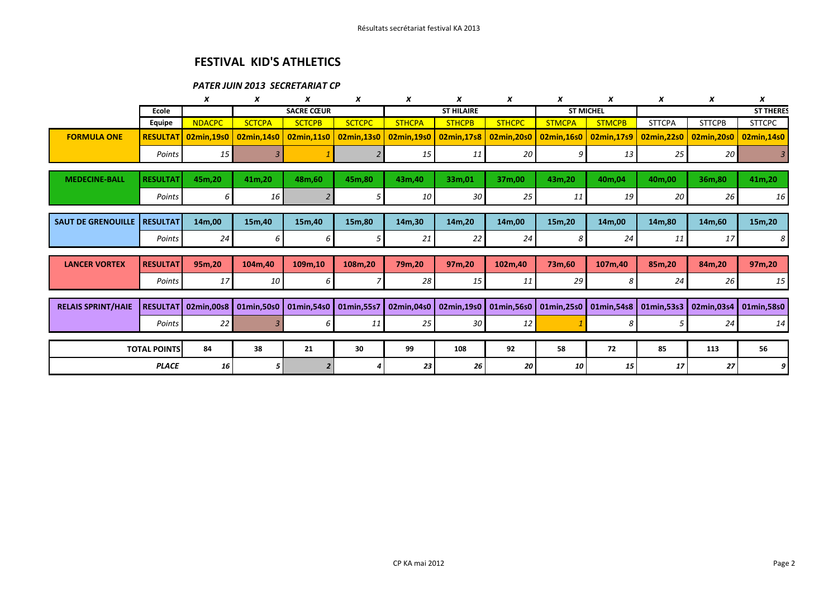## FESTIVAL KID'S ATHLETICS

## PATER JUIN 2013 SECRETARIAT CP

|                           |                 | x                                                                       | x                 | x             | x                 | x             | x             | x                | x                     | x             | x                     | x                | X                     |
|---------------------------|-----------------|-------------------------------------------------------------------------|-------------------|---------------|-------------------|---------------|---------------|------------------|-----------------------|---------------|-----------------------|------------------|-----------------------|
|                           | Ecole           |                                                                         | <b>SACRE CŒUR</b> |               | <b>ST HILAIRE</b> |               |               | <b>ST MICHEL</b> |                       |               |                       | <b>ST THERES</b> |                       |
|                           | <b>Equipe</b>   | <b>NDACPC</b>                                                           | <b>SCTCPA</b>     | <b>SCTCPB</b> | <b>SCTCPC</b>     | <b>STHCPA</b> | <b>STHCPB</b> | <b>STHCPC</b>    | <b>STMCPA</b>         | <b>STMCPB</b> | <b>STTCPA</b>         | <b>STTCPB</b>    | <b>STTCPC</b>         |
| <b>FORMULA ONE</b>        | <b>RESULTAT</b> | 02min,19s0                                                              | 02min, 14s0       | 02min,11s0    | 02min,13s0        | 02min,19s0    | 02min,17s8    | 02min, 20s0      | 02min,16s0            | 02min,17s9    | 02min, 22s0           | 02min, 20s0      | 02min,14s0            |
|                           | Points          | 15                                                                      |                   |               |                   | 15            | 11            | 20               | 9                     | 13            | 25                    | 20               |                       |
| <b>MEDECINE-BALL</b>      | <b>RESULTAT</b> | 45m,20                                                                  | 41m,20            | 48m,60        | 45m,80            | 43m, 40       | 33m,01        | 37m,00           | 43m,20                | 40m,04        | 40m,00                | 36m,80           | 41m,20                |
|                           | Points          | 6                                                                       | <b>16</b>         |               | 5.                | 10            | 30            | 25               | 11                    | 19            | 20                    | 26               | 16                    |
|                           |                 |                                                                         |                   |               |                   |               |               |                  |                       |               |                       |                  |                       |
| <b>SAUT DE GRENOUILLE</b> | <b>RESULTAT</b> | 14m,00                                                                  | 15m,40            | 15m,40        | 15m,80            | 14m,30        | 14m,20        | 14m,00           | 15m,20                | 14m,00        | 14m,80                | 14m,60           | 15m,20                |
|                           | Points          | 24                                                                      | 6                 | 6             | 5                 | 21            | 22            | 24               | 8                     | 24            | 11                    | 17               | 8                     |
|                           |                 |                                                                         |                   |               |                   |               |               |                  |                       |               |                       |                  |                       |
| <b>LANCER VORTEX</b>      | <b>RESULTAT</b> | 95m,20                                                                  | 104m,40           | 109m,10       | 108m,20           | 79m,20        | 97m,20        | 102m,40          | 73m,60                | 107m,40       | 85m,20                | 84m,20           | 97m,20                |
|                           | Points          | 17 <sup>1</sup>                                                         | 10                | 6             |                   | 28            | 15            | 11               | 29                    | 8             | 24                    | 26               | 15                    |
|                           |                 |                                                                         |                   |               |                   |               |               |                  |                       |               |                       |                  |                       |
| <b>RELAIS SPRINT/HAIE</b> |                 | RESULTAT 02min,00s8   01min,50s0   01min,54s0   01min,55s7   02min,04s0 |                   |               |                   |               | 02min,19s0    |                  | 01min,56s0 01min,25s0 |               | 01min,54s8 01min,53s3 |                  | 02min,03s4 01min,58s0 |
|                           | Points          | 22                                                                      |                   | 6             | 11                | 25            | 30            | 12               |                       | 8             | 5                     | 24               | 14                    |
|                           |                 |                                                                         |                   |               |                   |               |               |                  |                       |               |                       |                  |                       |
| <b>TOTAL POINTS</b>       |                 | 84                                                                      | 38                | 21            | 30                | 99            | 108           | 92               | 58                    | 72            | 85                    | 113              | 56                    |
| <b>PLACE</b>              |                 | 16                                                                      | 5                 |               |                   | 23            | 26            | 20               | 10                    | 15            | 17                    | 27               |                       |